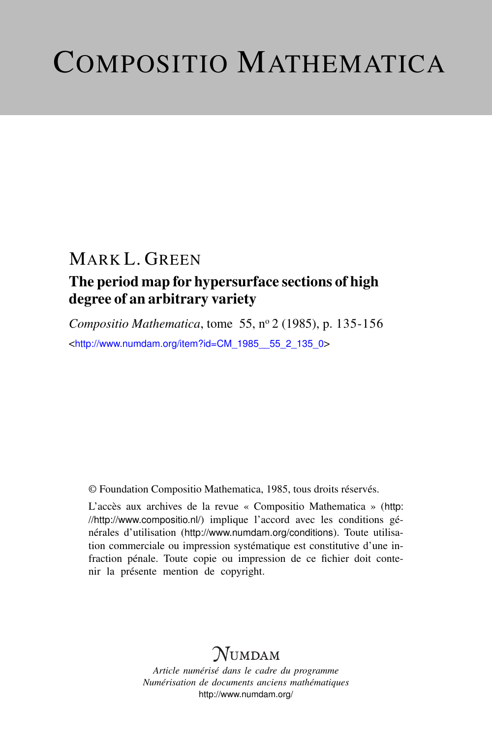# COMPOSITIO MATHEMATICA

## MARK L. GREEN

### The period map for hypersurface sections of high degree of an arbitrary variety

*Compositio Mathematica*, tome 55, n<sup>o</sup> 2 (1985), p. 135-156 <[http://www.numdam.org/item?id=CM\\_1985\\_\\_55\\_2\\_135\\_0](http://www.numdam.org/item?id=CM_1985__55_2_135_0)>

© Foundation Compositio Mathematica, 1985, tous droits réservés.

L'accès aux archives de la revue « Compositio Mathematica » ([http:](http://http://www.compositio.nl/) [//http://www.compositio.nl/](http://http://www.compositio.nl/)) implique l'accord avec les conditions générales d'utilisation (<http://www.numdam.org/conditions>). Toute utilisation commerciale ou impression systématique est constitutive d'une infraction pénale. Toute copie ou impression de ce fichier doit contenir la présente mention de copyright.

## **NUMDAM**

*Article numérisé dans le cadre du programme Numérisation de documents anciens mathématiques* <http://www.numdam.org/>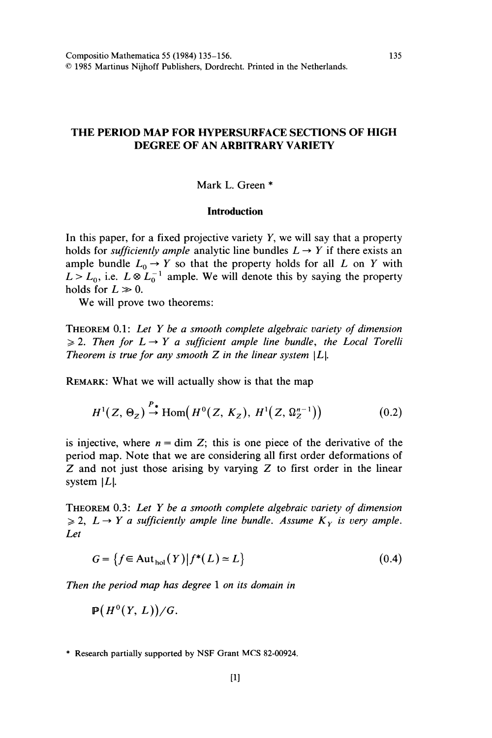#### THE PERIOD MAP FOR HYPERSURFACE SECTIONS OF HIGH DEGREE OF AN ARBITRARY VARIETY

#### Mark L. Green \*

#### **Introduction**

In this paper, for a fixed projective variety  $Y$ , we will say that a property holds for *sufficiently ample* analytic line bundles  $L \rightarrow Y$  if there exists an ample bundle  $L_0 \rightarrow Y$  so that the property holds for all L on Y with  $L > L_0$ , i.e.  $L \otimes L_0^{-1}$  ample. We will denote this by saying the property holds for  $L \gg 0$ .

We will prove two theorems:

THEOREM  $0.1$ : Let Y be a smooth complete algebraic variety of dimension  $\geq 2$ . Then for  $L \rightarrow Y$  a sufficient ample line bundle, the Local Torelli Theorem is true for any smooth  $Z$  in the linear system  $|L|$ .

REMARK: What we will actually show is that the map

$$
H^{1}(Z, \Theta_{Z}) \stackrel{P_{*}}{\to} \text{Hom}\big(H^{0}(Z, K_{Z}), H^{1}(Z, \Omega_{Z}^{n-1})\big) \tag{0.2}
$$

is injective, where  $n = \dim Z$ ; this is one piece of the derivative of the period map. Note that we are considering all first order deformations of  $Z$  and not just those arising by varying  $Z$  to first order in the linear system  $|L|$ .

THEOREM 0.3: Let Y be a smooth complete algebraic variety of dimension  $\geq 2$ ,  $L \rightarrow Y$  a sufficiently ample line bundle. Assume  $K_Y$  is very ample. Let

$$
G = \{ f \in \text{Aut}_{hol}(Y) | f^*(L) \simeq L \}
$$
\n
$$
(0.4)
$$

Then the period map has degree 1 on its domain in

$$
\mathbf{P}(H^0(Y,L))/G.
$$

\* Research partially supported by NSF Grant MCS 82-00924.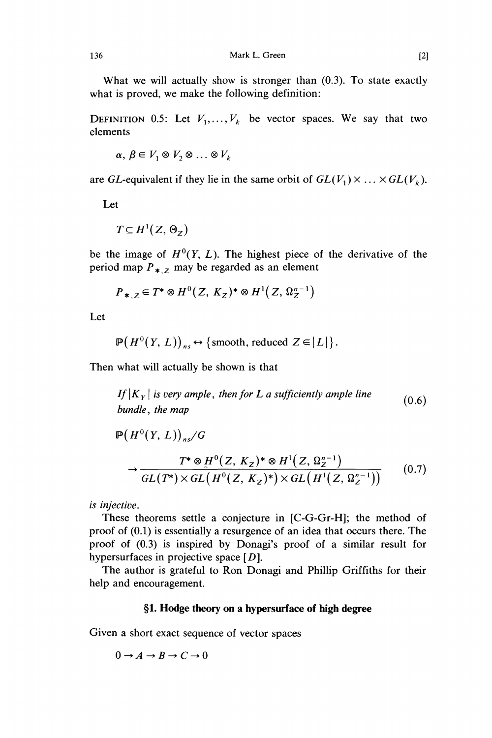What we will actually show is stronger than (0.3). To state exactly what is proved, we make the following definition:

DEFINITION 0.5: Let  $V_1, \ldots, V_k$  be vector spaces. We say that two elements

 $\alpha, \beta \in V_1 \otimes V_2 \otimes \ldots \otimes V_k$ 

are GL-equivalent if they lie in the same orbit of  $GL(V_1) \times \ldots \times GL(V_k)$ .

Let

 $T\subseteq H^1(Z,\Theta_z)$ 

be the image of  $H^0(Y, L)$ . The highest piece of the derivative of the period map  $P_{\ast, z}$  may be regarded as an element

$$
P_{*,Z} \in T^* \otimes H^0(Z, K_Z)^* \otimes H^1(Z, \Omega_Z^{n-1})
$$

Let

$$
\mathbb{P}(H^0(Y, L))_{ns} \leftrightarrow \{\text{smooth, reduced } Z \in |L|\}.
$$

Then what will actually be shown is that

If  $|K_{y}|$  is very ample, then for L a sufficiently ample line  $(0.6)$ bundle, the map

$$
\mathbb{P}\left(H^{0}(Y, L)\right)_{ns}/G
$$
\n
$$
\rightarrow \frac{T^{*} \otimes H^{0}(Z, K_{Z})^{*} \otimes H^{1}(Z, \Omega_{Z}^{n-1})}{GL(T^{*}) \times GL\left(H^{0}(Z, K_{Z})^{*}\right) \times GL\left(H^{1}(Z, \Omega_{Z}^{n-1})\right)}\tag{0.7}
$$

is injective.

These theorems settle a conjecture in [C-G-Gr-H]; the method of proof of (0.1) is essentially a resurgence of an idea that occurs there. The proof of (0.3) is inspired by Donagi's proof of a similar result for hypersurfaces in projective space  $[D]$ .

The author is grateful to Ron Donagi and Phillip Griffiths for their help and encouragement.

#### §1. Hodge theory on a hypersurface of high degree

Given a short exact sequence of vector spaces

 $0 \rightarrow A \rightarrow B \rightarrow C \rightarrow 0$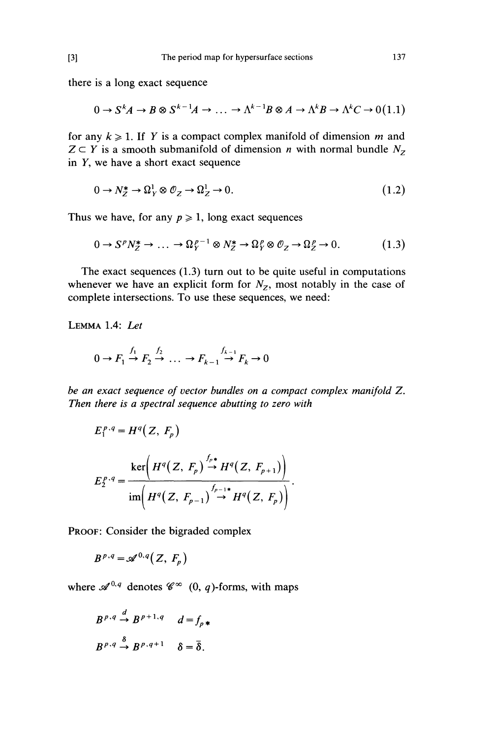there is a long exact sequence

$$
0 \to S^k A \to B \otimes S^{k-1} A \to \dots \to \Lambda^{k-1} B \otimes A \to \Lambda^k B \to \Lambda^k C \to 0
$$
(1.1)

for any  $k \ge 1$ . If Y is a compact complex manifold of dimension m and  $Z \subset Y$  is a smooth submanifold of dimension *n* with normal bundle  $N_Z$ in Y, we have a short exact sequence

$$
0 \to N_Z^* \to \Omega^1_Y \otimes \mathcal{O}_Z \to \Omega^1_Z \to 0. \tag{1.2}
$$

Thus we have, for any  $p \ge 1$ , long exact sequences

$$
0 \to S^p N_Z^* \to \dots \to \Omega_Y^{p-1} \otimes N_Z^* \to \Omega_Y^p \otimes \mathcal{O}_Z \to \Omega_Z^p \to 0. \tag{1.3}
$$

The exact sequences (1.3) turn out to be quite useful in computations whenever we have an explicit form for  $N_z$ , most notably in the case of complete intersections. To use these sequences, we need:

LEMMA 1.4: Let

$$
0 \to F_1 \xrightarrow{f_1} F_2 \xrightarrow{f_2} \dots \to F_{k-1} \xrightarrow{f_{k-1}} F_k \to 0
$$

be an exact sequence of vector bundles on a compact complex manifold Z. Then there is a spectral sequence abutting to zero with

$$
E_1^{p,q} = H^q(Z, F_p)
$$
  
\n
$$
E_2^{p,q} = \frac{\ker\left(H^q(Z, F_p) \stackrel{f_p*}{\to} H^q(Z, F_{p+1})\right)}{\operatorname{im}\left(H^q(Z, F_{p-1}) \stackrel{f_{p-1}*}{\to} H^q(Z, F_p)\right)}.
$$

PROOF: Consider the bigraded complex

$$
B^{p,q} = \mathscr{A}^{0,q}(Z, F_p)
$$

where  $\mathscr{A}^{0,q}$  denotes  $\mathscr{C}^{\infty}(0, q)$ -forms, with maps

$$
B^{p,q} \xrightarrow{d} B^{p+1,q} \quad d = f_{p*}
$$
  

$$
B^{p,q} \xrightarrow{\delta} B^{p,q+1} \quad \delta = \overline{\delta}.
$$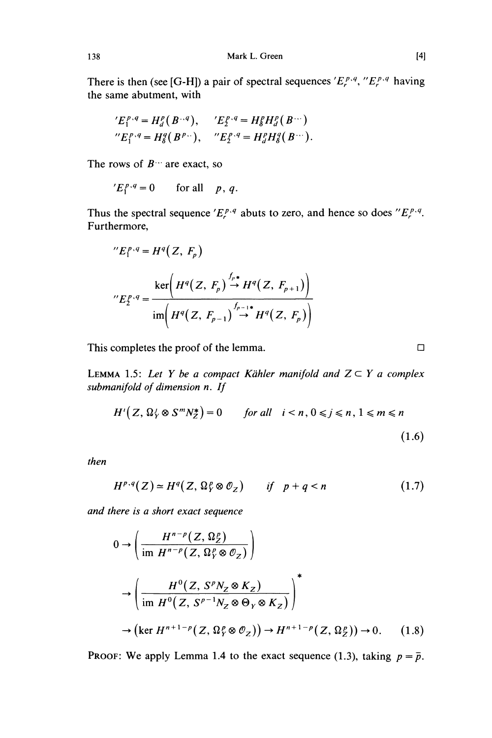There is then (see [G-H]) a pair of spectral sequences  $'E_r^{p,q},''E_r^{p,q}$  having the same abutment, with

$$
'E_1^{p,q} = H_d^p(B^{q,q}), \quad 'E_2^{p,q} = H_g^p H_d^p(B^{q,q})
$$
  
 $"E_1^{p,q} = H_g^q(B^{p,q}), \quad "E_2^{p,q} = H_d^p H_g^q(B^{q,q}).$ 

The rows of  $B^{\cdots}$  are exact, so

$$
{}^{\prime}E_1^{p,q}=0 \qquad \text{for all} \quad p,\,q.
$$

Thus the spectral sequence ' $E_r^{p,q}$  abuts to zero, and hence so does " $E_r^{p,q}$ . Furthermore,

"
$$
E_1^{p,q} = H^q(Z, F_p)
$$
  
"
$$
E_2^{p,q} = \frac{\ker\left(H^q(Z, F_p) \stackrel{f_p \ast}{\to} H^q(Z, F_{p+1})\right)}{\operatorname{im}\left(H^q(Z, F_{p-1}) \stackrel{f_{p-1} \ast}{\to} H^q(Z, F_p)\right)}
$$

This completes the proof of the lemma.  $\square$ 

LEMMA 1.5: Let Y be a compact Kähler manifold and  $Z \subset Y$  a complex submanifold of dimension n. If

$$
H^{i}(Z, \Omega_{Y}^{j} \otimes S^{m} N_{Z}^{*}) = 0 \quad \text{for all} \quad i < n, 0 \leq j \leq n, 1 \leq m \leq n
$$
\n
$$
(1.6)
$$

then

$$
H^{p,q}(Z) \simeq H^q(Z, \Omega_Y^p \otimes \mathcal{O}_Z) \qquad \text{if} \quad p+q < n \tag{1.7}
$$

and there is a short exact sequence

$$
0 \to \left(\frac{H^{n-p}(Z, \Omega_Z^p)}{\text{im } H^{n-p}(Z, \Omega_Y^p \otimes \mathcal{O}_Z)}\right)
$$
  

$$
\to \left(\frac{H^0(Z, S^p N_Z \otimes K_Z)}{\text{im } H^0(Z, S^{p-1} N_Z \otimes \Theta_Y \otimes K_Z)}\right)^*
$$
  

$$
\to \left(\text{ker } H^{n+1-p}(Z, \Omega_Y^p \otimes \mathcal{O}_Z)\right) \to H^{n+1-p}(Z, \Omega_Z^p) \to 0. \quad (1.8)
$$

PROOF: We apply Lemma 1.4 to the exact sequence (1.3), taking  $p = \overline{p}$ .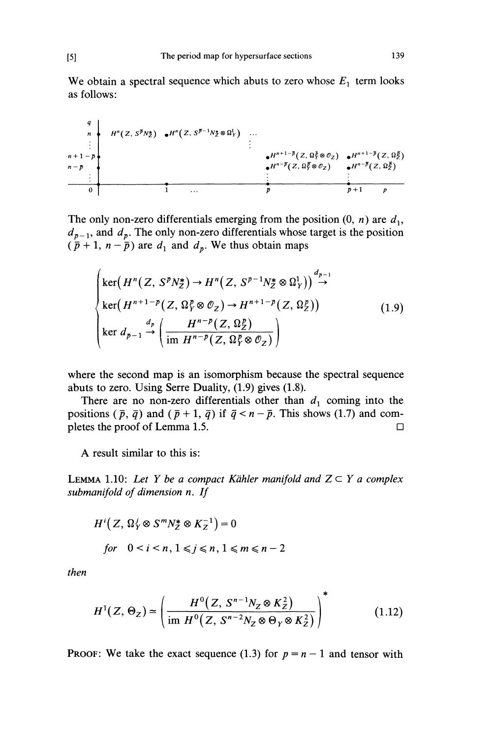We obtain a spectral sequence which abuts to zero whose  $E_1$  term looks as follows:

$$
\begin{array}{c}\n q \\
 n \\
 \vdots \\
 n+1-p \\
 n-p \\
 \vdots \\
 0\n\end{array}\n\qquad\n\begin{array}{c}\n H^n(Z, S^{\overline{p}}N_Z^*) \quad \bullet H^n(Z, S^{\overline{p}-1}N_Z^*\otimes \Omega_Y^1) \\
 \vdots \\
 H^{n+1-\overline{p}}(Z, \Omega_Y^{\overline{p}}\otimes \mathcal{O}_Z) \quad \bullet H^{n+1-\overline{p}}(Z, \Omega_Z^{\overline{p}}) \\
 \vdots \\
 H^{n-\overline{p}}(Z, \Omega_Y^{\overline{p}}\otimes \mathcal{O}_Z) \quad \bullet H^{n+\overline{p}}(Z, \Omega_Z^{\overline{p}})\n\end{array}
$$

The only non-zero differentials emerging from the position  $(0, n)$  are  $d_1$ ,  $d_{p-1}$ , and  $d_p$ . The only non-zero differentials whose target is the position  $(\bar{p} + 1, n - \bar{p})$  are  $d_1$  and  $d_p$ . We thus obtain maps

$$
\begin{cases}\n\ker\left(H^n(Z, S^p N_Z^*) \to H^n(Z, S^{p-1} N_Z^* \otimes \Omega_Y^1)\right) \xrightarrow{d_{p-1}} \\
\ker\left(H^{n+1-p}(Z, \Omega_Y^p \otimes \mathcal{O}_Z) \to H^{n+1-p}(Z, \Omega_Z^p)\right) \\
\ker d_{p-1} \xrightarrow{d_p} \left(\frac{H^{n-p}(Z, \Omega_Z^p)}{\text{im } H^{n-p}(Z, \Omega_Y^p \otimes \mathcal{O}_Z)}\right)\n\end{cases} \tag{1.9}
$$

where the second map is an isomorphism because the spectral sequence abuts to zero. Using Serre Duality, (1.9) gives (1.8).

There are no non-zero differentials other than  $d_1$  coming into the positions  $(\bar{p}, \bar{q})$  and  $(\bar{p} + 1, \bar{q})$  if  $\bar{q} < n - \bar{p}$ . This shows (1.7) and completes the proof of Lemma 1.5.  $\Box$ 

A result similar to this is:

LEMMA 1.10: Let Y be a compact Kähler manifold and  $Z \subset Y$  a complex submanifold of dimension n. If

$$
H^{i}(Z, \Omega^{j}_{Y} \otimes S^{m} N_{Z}^{*} \otimes K_{Z}^{-1}) = 0
$$
  
for  $0 < i < n, 1 \le j \le n, 1 \le m \le n - 2$ 

then

$$
H^{1}(Z, \Theta_{Z}) \simeq \left(\frac{H^{0}(Z, S^{n-1}N_{Z} \otimes K_{Z}^{2})}{\text{im } H^{0}(Z, S^{n-2}N_{Z} \otimes \Theta_{Y} \otimes K_{Z}^{2})}\right)^{2}
$$
(1.12)

**PROOF:** We take the exact sequence (1.3) for  $p = n - 1$  and tensor with

 $[5]$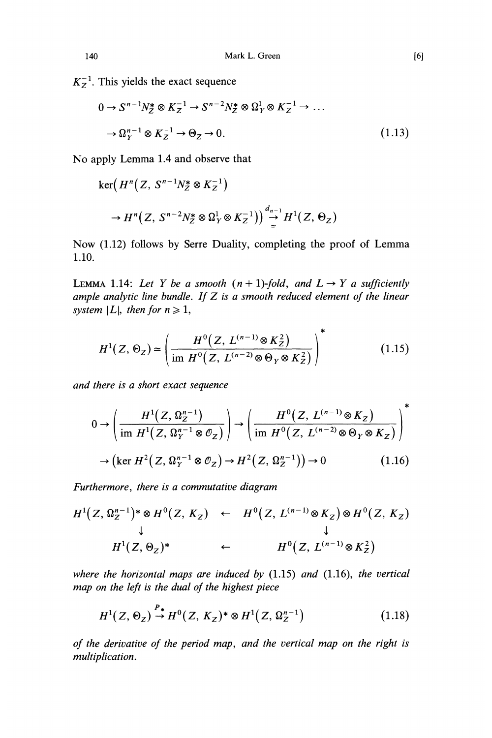$K_z^{-1}$ . This yields the exact sequence

$$
0 \to S^{n-1} N_Z^* \otimes K_Z^{-1} \to S^{n-2} N_Z^* \otimes \Omega_Y^1 \otimes K_Z^{-1} \to \dots
$$
  

$$
\to \Omega_Y^{n-1} \otimes K_Z^{-1} \to \Theta_Z \to 0.
$$
 (1.13)

No apply Lemma 1.4 and observe that

$$
\ker\left(H^n(Z, S^{n-1}N_Z^* \otimes K_Z^{-1})\right)
$$
  
\n
$$
\to H^n(Z, S^{n-2}N_Z^* \otimes \Omega_Y^1 \otimes K_Z^{-1})\Big) \stackrel{d_{n-1}}{\to} H^1(Z, \Theta_Z)
$$

Now (1.12) follows by Serre Duality, completing the proof of Lemma 1.10.

LEMMA 1.14: Let Y be a smooth  $(n + 1)$ -fold, and  $L \rightarrow Y$  a sufficiently ample analytic line bundle. If  $Z$  is a smooth reduced element of the linear system |L|, then for  $n \ge 1$ ,

$$
H^{1}(Z, \Theta_{Z}) \simeq \left(\frac{H^{0}(Z, L^{(n-1)} \otimes K_{Z}^{2})}{\text{im } H^{0}(Z, L^{(n-2)} \otimes \Theta_{Y} \otimes K_{Z}^{2})}\right)^{*}
$$
(1.15)

and there is a short exact sequence

$$
0 \to \left(\frac{H^1(Z, \Omega_Z^{n-1})}{\text{im } H^1(Z, \Omega_Y^{n-1} \otimes \mathcal{O}_Z)}\right) \to \left(\frac{H^0(Z, L^{(n-1)} \otimes K_Z)}{\text{im } H^0(Z, L^{(n-2)} \otimes \Theta_Y \otimes K_Z)}\right)^*
$$
  

$$
\to \left(\text{ker } H^2(Z, \Omega_Y^{n-1} \otimes \mathcal{O}_Z) \to H^2(Z, \Omega_Z^{n-1})\right) \to 0
$$
 (1.16)

Furthermore, there is a commutative diagram

$$
H^{1}(Z, \Omega_{Z}^{n-1})^{*} \otimes H^{0}(Z, K_{Z}) \leftarrow H^{0}(Z, L^{(n-1)} \otimes K_{Z}) \otimes H^{0}(Z, K_{Z})
$$
\n
$$
\downarrow \qquad \qquad \downarrow
$$
\n
$$
H^{1}(Z, \Theta_{Z})^{*} \leftarrow H^{0}(Z, L^{(n-1)} \otimes K_{Z}^{2})
$$

where the horizontal maps are induced by  $(1.15)$  and  $(1.16)$ , the vertical map on the left is the dual of the highest piece

$$
H^{1}(Z, \Theta_{Z}) \stackrel{P_{*}}{\to} H^{0}(Z, K_{Z})^{*} \otimes H^{1}(Z, \Omega_{Z}^{n-1})
$$
\n(1.18)

of the derivative of the period map, and the vertical map on the right is multiplication.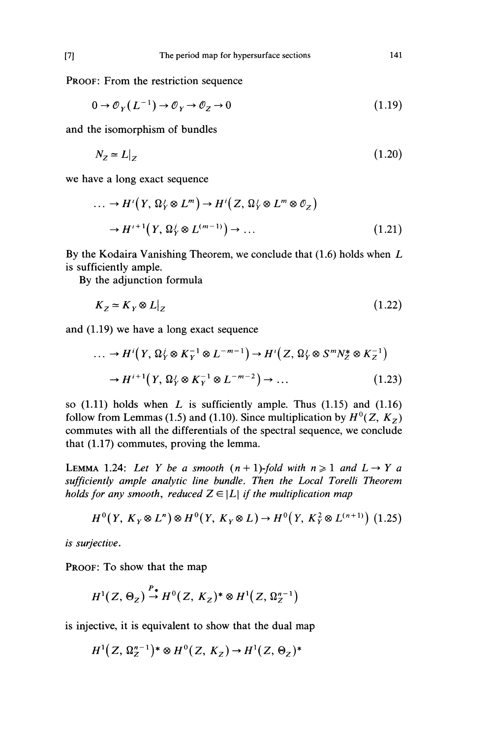141

PROOF: From the restriction sequence

$$
0 \to \mathcal{O}_Y(L^{-1}) \to \mathcal{O}_Y \to \mathcal{O}_Z \to 0 \tag{1.19}
$$

and the isomorphism of bundles

$$
N_Z \approx L|_Z \tag{1.20}
$$

we have a long exact sequence

$$
\dots \to H^{i}(Y, \Omega_{Y}^{j} \otimes L^{m}) \to H^{i}(Z, \Omega_{Y}^{j} \otimes L^{m} \otimes \mathcal{O}_{Z})
$$

$$
\to H^{i+1}(Y, \Omega_{Y}^{j} \otimes L^{(m-1)}) \to \dots
$$
(1.21)

By the Kodaira Vanishing Theorem, we conclude that (1.6) holds when L is sufficiently ample.

By the adjunction formula

$$
K_Z \simeq K_Y \otimes L|_Z \tag{1.22}
$$

and (1.19) we have a long exact sequence

$$
\dots \to H^i\big(Y, \Omega^j_Y \otimes K_Y^{-1} \otimes L^{-m-1}\big) \to H^i\big(Z, \Omega^j_Y \otimes S^m N_Z^* \otimes K_Z^{-1}\big)
$$

$$
\to H^{i+1}\big(Y, \Omega^j_Y \otimes K_Y^{-1} \otimes L^{-m-2}\big) \to \dots \tag{1.23}
$$

so  $(1.11)$  holds when L is sufficiently ample. Thus  $(1.15)$  and  $(1.16)$ follow from Lemmas (1.5) and (1.10). Since multiplication by  $H^0(Z, K_Z)$ commutes with all the differentials of the spectral sequence, we conclude that (1.17) commutes, proving the lemma.

LEMMA 1.24: Let Y be a smooth  $(n + 1)$ -fold with  $n \ge 1$  and  $L \rightarrow Y$  a sufficiently ample analytic line bundle. Then the Local Torelli Theorem holds for any smooth, reduced  $Z \in |L|$  if the multiplication map

$$
H^{0}(Y, K_{Y} \otimes L^{n}) \otimes H^{0}(Y, K_{Y} \otimes L) \rightarrow H^{0}(Y, K_{Y}^{2} \otimes L^{(n+1)})
$$
 (1.25)

is surjective.

PROOF: To show that the map

$$
H^1(Z, \Theta_Z) \stackrel{P_*}{\rightarrow} H^0(Z, K_Z)^* \otimes H^1(Z, \Omega_Z^{n-1})
$$

is injective, it is equivalent to show that the dual map

$$
H^1(Z, \Omega_Z^{n-1})^* \otimes H^0(Z, K_Z) \to H^1(Z, \Theta_Z)^*
$$

 $[7]$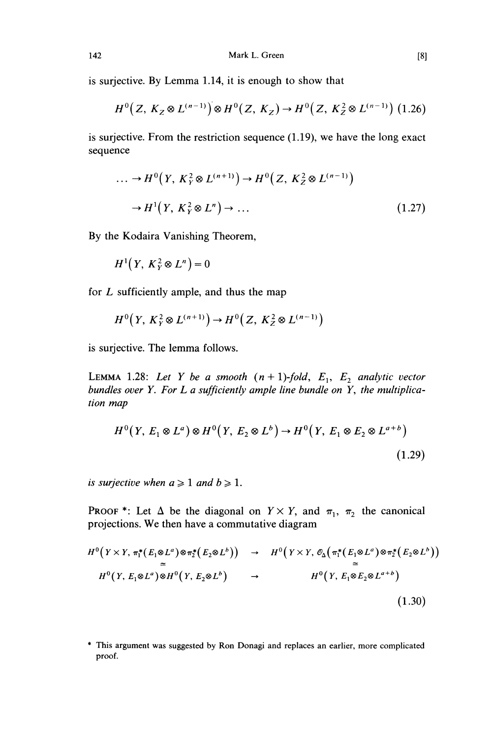is surjective. By Lemma 1.14, it is enough to show that

$$
H^{0}(Z, K_{Z} \otimes L^{(n-1)}) \otimes H^{0}(Z, K_{Z}) \to H^{0}(Z, K_{Z}^{2} \otimes L^{(n-1)})
$$
 (1.26)

is surjective. From the restriction sequence (1.19), we have the long exact sequence

$$
\dots \to H^0\big(Y, K_Y^2 \otimes L^{(n+1)}\big) \to H^0\big(Z, K_Z^2 \otimes L^{(n-1)}\big)
$$
  

$$
\to H^1\big(Y, K_Y^2 \otimes L^n\big) \to \dots
$$
 (1.27)

By the Kodaira Vanishing Theorem,

$$
H^1(Y, K_Y^2 \otimes L^n) = 0
$$

for  $L$  sufficiently ample, and thus the map

$$
H^0\big(Y,\,K_Y^2\otimes L^{(n+1)}\big)\to H^0\big(Z,\,K_Z^2\otimes L^{(n-1)}\big)
$$

is surjective. The lemma follows.

LEMMA 1.28: Let Y be a smooth  $(n + 1)$ -fold,  $E_1$ ,  $E_2$  analytic vector bundles over Y. For  $L$  a sufficiently ample line bundle on  $Y$ , the multiplication map

$$
H^{0}(Y, E_{1} \otimes L^{a}) \otimes H^{0}(Y, E_{2} \otimes L^{b}) \rightarrow H^{0}(Y, E_{1} \otimes E_{2} \otimes L^{a+b})
$$
\n(1.29)

is surjective when  $a \geq 1$  and  $b \geq 1$ .

PROOF \*: Let  $\Delta$  be the diagonal on  $Y \times Y$ , and  $\pi_1$ ,  $\pi_2$  the canonical projections. We then have a commutative diagram

$$
H^{0}(Y \times Y, \pi_{1}^{*}(E_{1} \otimes L^{a}) \otimes \pi_{2}^{*}(E_{2} \otimes L^{b})) \rightarrow H^{0}(Y \times Y, \mathcal{O}_{\Delta}(\pi_{1}^{*}(E_{1} \otimes L^{a}) \otimes \pi_{2}^{*}(E_{2} \otimes L^{b}))
$$
  
\n
$$
H^{0}(Y, E_{1} \otimes L^{a}) \otimes H^{0}(Y, E_{2} \otimes L^{b}) \rightarrow H^{0}(Y, E_{1} \otimes E_{2} \otimes L^{a+b})
$$
  
\n
$$
(1.30)
$$

<sup>\*</sup> This argument was suggested by Ron Donagi and replaces an earlier, more complicated proof.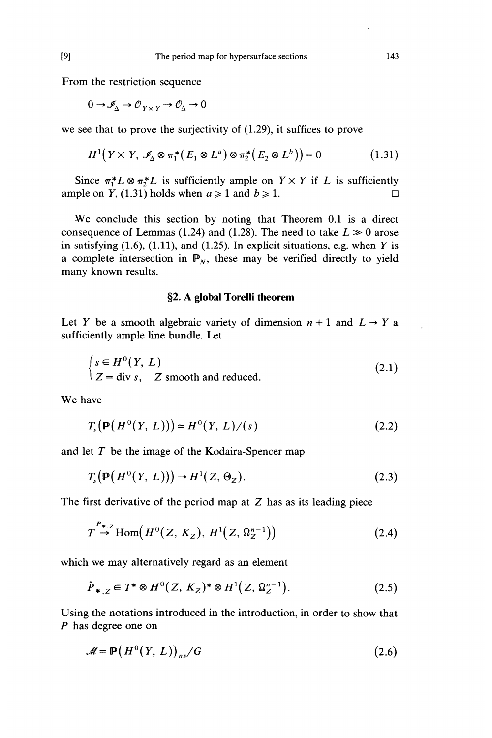From the restriction sequence

$$
0 \to \mathcal{I}_{\Delta} \to \mathcal{O}_{Y \times Y} \to \mathcal{O}_{\Delta} \to 0
$$

we see that to prove the surjectivity of (1.29), it suffices to prove

$$
H^{1}(Y \times Y, \mathcal{I}_{\Delta} \otimes \pi_{1}^{*}(E_{1} \otimes L^{a}) \otimes \pi_{2}^{*}(E_{2} \otimes L^{b})) = 0 \qquad (1.31)
$$

Since  $\pi_1^*L \otimes \pi_2^*L$  is sufficiently ample on  $Y \times Y$  if L is sufficiently on  $Y$ . (1.31) holds when  $a \ge 1$  and  $b \ge 1$ . ample on Y, (1.31) holds when  $a \ge 1$  and  $b \ge 1$ .

We conclude this section by noting that Theorem 0.1 is a direct consequence of Lemmas (1.24) and (1.28). The need to take  $L \gg 0$  arose in satisfying  $(1.6)$ ,  $(1.11)$ , and  $(1.25)$ . In explicit situations, e.g. when Y is a complete intersection in  $\mathbb{P}_N$ , these may be verified directly to yield many known results.

#### §2. A global Torelli theorem

Let Y be a smooth algebraic variety of dimension  $n + 1$  and  $L \rightarrow Y$  a sufficiently ample line bundle. Let

$$
\begin{cases}\ns \in H^0(Y, L) \\
Z = \text{div } s, \quad Z \text{ smooth and reduced.} \n\end{cases}
$$
\n(2.1)

We have

$$
T_s(\mathbb{P}(H^0(Y, L))) \simeq H^0(Y, L)/(s)
$$
 (2.2)

and let  $T$  be the image of the Kodaira-Spencer map

$$
T_s(\mathbb{P}(H^0(Y, L))) \to H^1(Z, \Theta_Z). \tag{2.3}
$$

The first derivative of the period map at  $Z$  has as its leading piece

$$
T \stackrel{P_{\ast, Z}}{\rightarrow} \text{Hom}\big(H^0(Z, K_Z), H^1(Z, \Omega_Z^{n-1})\big) \tag{2.4}
$$

which we may alternatively regard as an element

$$
\hat{P}_{\ast,Z} \in T^* \otimes H^0(Z, K_Z)^* \otimes H^1(Z, \Omega_Z^{n-1}). \tag{2.5}
$$

Using the notations introduced in the introduction, in order to show that P has degree one on

$$
\mathcal{M} = \mathbb{P}\big(H^0(Y, L)\big)_{ns}/G\tag{2.6}
$$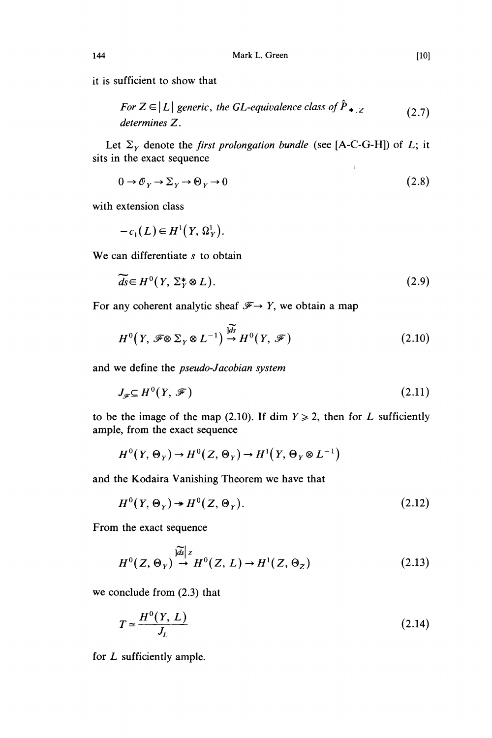it is sufficient to show that

For 
$$
Z \in |L|
$$
 generic, the GL-equivalence class of  $P_{*,Z}$  (2.7)  
determines Z.

 $\mathbf{r}$ 

Let  $\Sigma_Y$  denote the *first prolongation bundle* (see [A-C-G-H]) of *L*; it sits in the exact sequence  $\pm$ 

$$
0 \to \mathcal{O}_Y \to \Sigma_Y \to \Theta_Y \to 0 \tag{2.8}
$$

with extension class

$$
-c_1(L) \in H^1(Y, \Omega_Y^1).
$$

We can differentiate s to obtain

$$
\widetilde{ds} \in H^0(Y, \Sigma_Y^* \otimes L). \tag{2.9}
$$

For any coherent analytic sheaf  $\mathscr{F} \to Y$ , we obtain a map

$$
H^{0}(Y, \mathscr{F}\otimes \Sigma_{Y}\otimes L^{-1}) \stackrel{\widetilde{\mu}\widetilde{\delta}}{\to} H^{0}(Y, \mathscr{F})
$$
\n(2.10)

and we define the pseudo-Jacobian system

$$
J_{\mathscr{F}} \subseteq H^0(Y, \mathscr{F}) \tag{2.11}
$$

to be the image of the map (2.10). If dim  $Y \ge 2$ , then for L sufficiently ample, from the exact sequence

$$
H^{0}(Y, \Theta_{Y}) \to H^{0}(Z, \Theta_{Y}) \to H^{1}(Y, \Theta_{Y} \otimes L^{-1})
$$

and the Kodaira Vanishing Theorem we have that

$$
H^{0}(Y,\Theta_{Y}) \twoheadrightarrow H^{0}(Z,\Theta_{Y}). \tag{2.12}
$$

From the exact sequence

$$
H^{0}(Z,\Theta_{Y}) \stackrel{|\widetilde{dS}|_{Z}}{\rightarrow} H^{0}(Z,L) \rightarrow H^{1}(Z,\Theta_{Z})
$$
\n(2.13)

we conclude from (2.3) that

$$
T \simeq \frac{H^0(Y, L)}{J_L} \tag{2.14}
$$

for L sufficiently ample.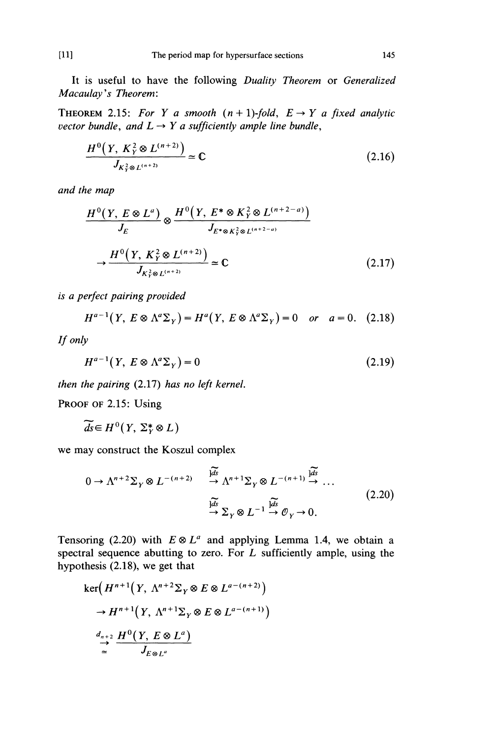It is useful to have the following Duality Theorem or Generalized Macaulay's Theorem:

THEOREM 2.15: For Y a smooth  $(n + 1)$ -fold,  $E \rightarrow Y$  a fixed analytic vector bundle, and  $L \rightarrow Y$  a sufficiently ample line bundle,

$$
\frac{H^{0}(Y, K_{Y}^{2} \otimes L^{(n+2)})}{J_{K_{Y}^{2} \otimes L^{(n+2)}}} \simeq \mathbb{C}
$$
\n(2.16)

and the map

$$
\frac{H^{0}(Y, E \otimes L^{a})}{J_{E}} \otimes \frac{H^{0}(Y, E^{*} \otimes K_{Y}^{2} \otimes L^{(n+2-a)})}{J_{E^{*} \otimes K_{Y}^{2} \otimes L^{(n+2-a)}}}
$$
\n
$$
\rightarrow \frac{H^{0}(Y, K_{Y}^{2} \otimes L^{(n+2)})}{J_{K_{Y}^{2} \otimes L^{(n+2)}}} \simeq \mathbb{C}
$$
\n(2.17)

is a perfect pairing provided

$$
H^{a-1}(Y, E \otimes \Lambda^a \Sigma_Y) = H^a(Y, E \otimes \Lambda^a \Sigma_Y) = 0 \quad or \quad a = 0. \tag{2.18}
$$

If only

$$
H^{a-1}(Y, E \otimes \Lambda^a \Sigma_Y) = 0 \tag{2.19}
$$

then the pairing (2.17) has no left kernel.

PROOF OF 2.15: Using

$$
\widetilde{ds} \in H^0(Y, \Sigma_Y^* \otimes L)
$$

we may construct the Koszul complex

$$
0 \to \Lambda^{n+2} \Sigma_Y \otimes L^{-(n+2)} \xrightarrow{\widetilde{\downarrow a s}} \Lambda^{n+1} \Sigma_Y \otimes L^{-(n+1)} \xrightarrow{\widetilde{\downarrow a s}} \dots
$$
  

$$
\xrightarrow{\widetilde{\downarrow a s}} \Sigma_Y \otimes L^{-1} \xrightarrow{\widetilde{\downarrow a s}} \mathcal{O}_Y \to 0.
$$
 (2.20)

Tensoring (2.20) with  $E \otimes L^a$  and applying Lemma 1.4, we obtain a spectral sequence abutting to zero. For  $L$  sufficiently ample, using the hypothesis (2.18), we get that

$$
\ker\left(H^{n+1}\left(Y, \Lambda^{n+2}\Sigma_Y \otimes E \otimes L^{a-(n+2)}\right)\right)
$$
  
\n
$$
\to H^{n+1}\left(Y, \Lambda^{n+1}\Sigma_Y \otimes E \otimes L^{a-(n+1)}\right)
$$
  
\n
$$
\xrightarrow{d_{n+2}} H^0\left(Y, E \otimes L^a\right)
$$
  
\n
$$
\xrightarrow{d_{n+2}} H^0\left(Y, E \otimes L^a\right)
$$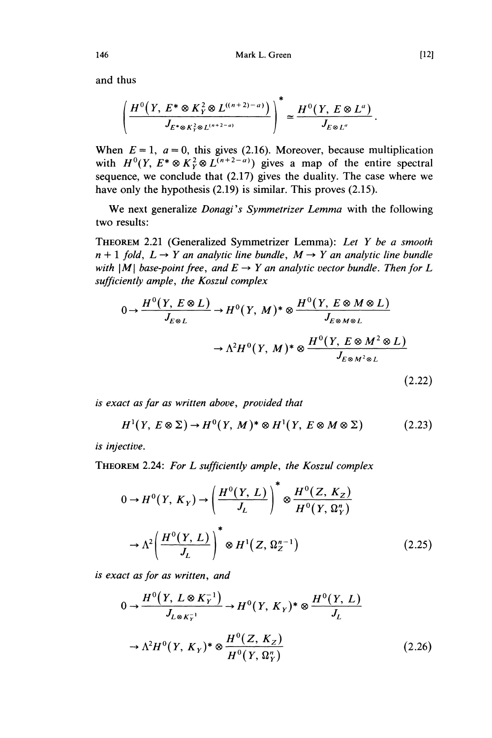and thus

$$
\left(\frac{H^{0}\left(Y, E^{*} \otimes K_{Y}^{2} \otimes L^{((n+2)-a)}\right)}{J_{E^{*} \otimes K_{Y}^{2} \otimes L^{(n+2-a)}}\right)^{*} \simeq \frac{H^{0}\left(Y, E \otimes L^{a}\right)}{J_{E \otimes L^{a}}}
$$

When  $E = 1$ ,  $a = 0$ , this gives (2.16). Moreover, because multiplication with  $H^0(Y, E^* \otimes K_Y^2 \otimes L^{(n+2-a)})$  gives a map of the entire spectral sequence, we conclude that (2.17) gives the duality. The case where we have only the hypothesis (2.19) is similar. This proves (2.15).

We next generalize Donagi's Symmetrizer Lemma with the following two results:

THEOREM 2.21 (Generalized Symmetrizer Lemma): Let Y be a smooth  $n + 1$  fold,  $L \rightarrow Y$  an analytic line bundle,  $M \rightarrow Y$  an analytic line bundle with  $|M|$  base-point free, and  $E \rightarrow Y$  an analytic vector bundle. Then for L sufficiently ample, the Koszul complex

$$
0 \to \frac{H^0(Y, E \otimes L)}{J_{E \otimes L}} \to H^0(Y, M)^* \otimes \frac{H^0(Y, E \otimes M \otimes L)}{J_{E \otimes M \otimes L}}
$$

$$
\to \Lambda^2 H^0(Y, M)^* \otimes \frac{H^0(Y, E \otimes M^2 \otimes L)}{J_{E \otimes M^2 \otimes L}}
$$

is exact as far as written above, provided that

$$
H^{1}(Y, E \otimes \Sigma) \to H^{0}(Y, M)^{*} \otimes H^{1}(Y, E \otimes M \otimes \Sigma)
$$
 (2.23)

is injective.

THEOREM 2.24: For L sufficiently ample, the Koszul complex

$$
0 \to H^0(Y, K_Y) \to \left(\frac{H^0(Y, L)}{J_L}\right)^* \otimes \frac{H^0(Z, K_Z)}{H^0(Y, \Omega_Y^n)}
$$

$$
\to \Lambda^2 \left(\frac{H^0(Y, L)}{J_L}\right)^* \otimes H^1(Z, \Omega_Z^{n-1})
$$
(2.25)

is exact as for as written, and

$$
0 \to \frac{H^0(Y, L \otimes K_Y^{-1})}{J_{L \otimes K_Y^{-1}}} \to H^0(Y, K_Y)^* \otimes \frac{H^0(Y, L)}{J_L}
$$
  

$$
\to \Lambda^2 H^0(Y, K_Y)^* \otimes \frac{H^0(Z, K_Z)}{H^0(Y, \Omega_Y^v)}
$$
(2.26)

 $(2.22)$ 

146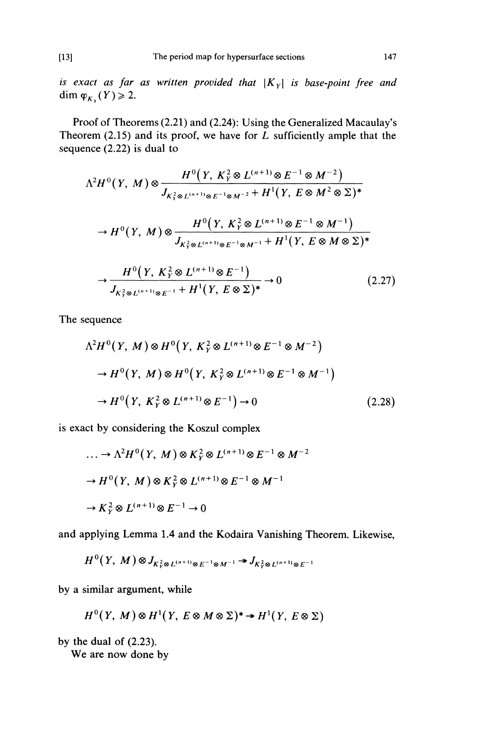is exact as far as written provided that  $|K_Y|$  is base-point free and dim  $\varphi_{K_1}(Y) \geq 2$ .

Proof of Theorems (2.21) and (2.24): Using the Generalized Macaulay's Theorem (2.15) and its proof, we have for  $L$  sufficiently ample that the sequence (2.22) is dual to

$$
\Lambda^{2}H^{0}(Y, M) \otimes \frac{H^{0}(Y, K_{Y}^{2} \otimes L^{(n+1)} \otimes E^{-1} \otimes M^{-2})}{J_{K_{Y}^{2} \otimes L^{(n+1)} \otimes E^{-1} \otimes M^{-2} + H^{1}(Y, E \otimes M^{2} \otimes \Sigma)^{*}}
$$
  
\n
$$
\to H^{0}(Y, M) \otimes \frac{H^{0}(Y, K_{Y}^{2} \otimes L^{(n+1)} \otimes E^{-1} \otimes M^{-1})}{J_{K_{Y}^{2} \otimes L^{(n+1)} \otimes E^{-1} \otimes M^{-1} + H^{1}(Y, E \otimes M \otimes \Sigma)^{*}}
$$
  
\n
$$
\to \frac{H^{0}(Y, K_{Y}^{2} \otimes L^{(n+1)} \otimes E^{-1})}{J_{K_{Y}^{2} \otimes L^{(n+1)} \otimes E^{-1} + H^{1}(Y, E \otimes \Sigma)^{*}} \to 0
$$
\n(2.27)

The sequence

$$
\Lambda^2 H^0(Y, M) \otimes H^0(Y, K_Y^2 \otimes L^{(n+1)} \otimes E^{-1} \otimes M^{-2})
$$
  
\n
$$
\to H^0(Y, M) \otimes H^0(Y, K_Y^2 \otimes L^{(n+1)} \otimes E^{-1} \otimes M^{-1})
$$
  
\n
$$
\to H^0(Y, K_Y^2 \otimes L^{(n+1)} \otimes E^{-1}) \to 0
$$
 (2.28)

is exact by considering the Koszul complex

$$
\dots \to \Lambda^2 H^0(Y, M) \otimes K_Y^2 \otimes L^{(n+1)} \otimes E^{-1} \otimes M^{-2}
$$
  

$$
\to H^0(Y, M) \otimes K_Y^2 \otimes L^{(n+1)} \otimes E^{-1} \otimes M^{-1}
$$
  

$$
\to K_Y^2 \otimes L^{(n+1)} \otimes E^{-1} \to 0
$$

and applying Lemma 1.4 and the Kodaira Vanishing Theorem. Likewise,

 $H^0(Y, M) \otimes J_{K^2_v \otimes L^{(n+1)} \otimes E^{-1} \otimes M^{-1}} \twoheadrightarrow J_{K^2_v \otimes L^{(n+1)} \otimes E^{-1}}$ 

by a similar argument, while

$$
H^0(Y, M) \otimes H^1(Y, E \otimes M \otimes \Sigma)^* \twoheadrightarrow H^1(Y, E \otimes \Sigma)
$$

by the dual of (2.23).

We are now done by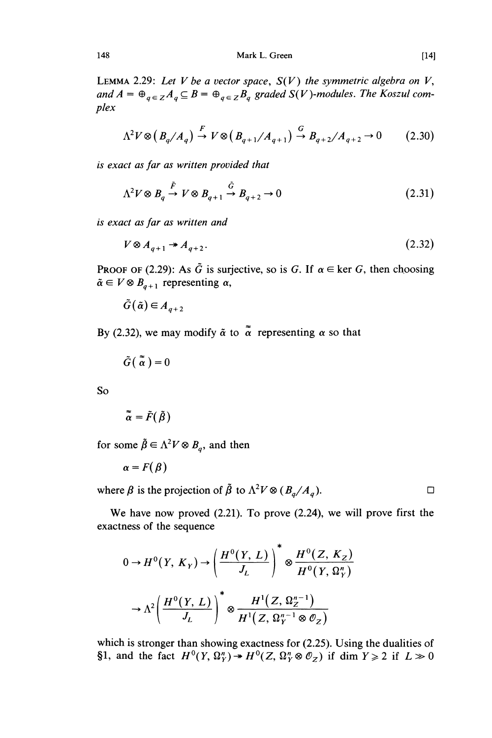Mark L. Green

LEMMA 2.29: Let V be a vector space,  $S(V)$  the symmetric algebra on V, and  $A = \bigoplus_{q \in \mathbb{Z}} A_q \subseteq B = \bigoplus_{q \in \mathbb{Z}} B_q$  graded  $S(V)$ -modules. The Koszul complex

$$
\Lambda^2 V \otimes \left(B_q / A_q\right) \stackrel{F}{\to} V \otimes \left(B_{q+1} / A_{q+1}\right) \stackrel{G}{\to} B_{q+2} / A_{q+2} \to 0 \tag{2.30}
$$

is exact as far as written provided that

$$
\Lambda^2 V \otimes B_q \stackrel{\tilde{F}}{\rightarrow} V \otimes B_{q+1} \stackrel{\tilde{G}}{\rightarrow} B_{q+2} \rightarrow 0 \tag{2.31}
$$

is exact as far as written and

$$
V \otimes A_{q+1} \twoheadrightarrow A_{q+2}.\tag{2.32}
$$

**PROOF OF (2.29):** As  $\tilde{G}$  is surjective, so is G. If  $\alpha \in \text{ker } G$ , then choosing  $\tilde{\alpha} \in V \otimes B_{q+1}$  representing  $\alpha$ ,

 $\tilde{G}(\tilde{\alpha}) \in A_{a+2}$ 

By (2.32), we may modify  $\tilde{\alpha}$  to  $\tilde{\alpha}$  representing  $\alpha$  so that

 $\tilde{G}(\tilde{\alpha})=0$ 

So

$$
\tilde{\tilde{\alpha}} = \tilde{F}(\tilde{\beta})
$$

for some  $\tilde{\beta} \in \Lambda^2 V \otimes B_q$ , and then

 $\alpha = F(\beta)$ 

where  $\beta$  is the projection of  $\tilde{\beta}$  to  $\Lambda^2 V \otimes (B_{q}/A_{q})$ .

We have now proved (2.21). To prove (2.24), we will prove first the exactness of the sequence

$$
0 \to H^0(Y, K_Y) \to \left(\frac{H^0(Y, L)}{J_L}\right)^* \otimes \frac{H^0(Z, K_Z)}{H^0(Y, \Omega_Y^n)}
$$

$$
\to \Lambda^2 \left(\frac{H^0(Y, L)}{J_L}\right)^* \otimes \frac{H^1(Z, \Omega_Z^{n-1})}{H^1(Z, \Omega_Y^{n-1} \otimes \mathcal{O}_Z)}
$$

which is stronger than showing exactness for  $(2.25)$ . Using the dualities of §1, and the fact  $H^0(Y, \Omega_Y^n) \twoheadrightarrow H^0(Z, \Omega_Y^n \otimes \mathcal{O}_Z)$  if dim  $Y \ge 2$  if  $L \gg 0$ 

 $[14]$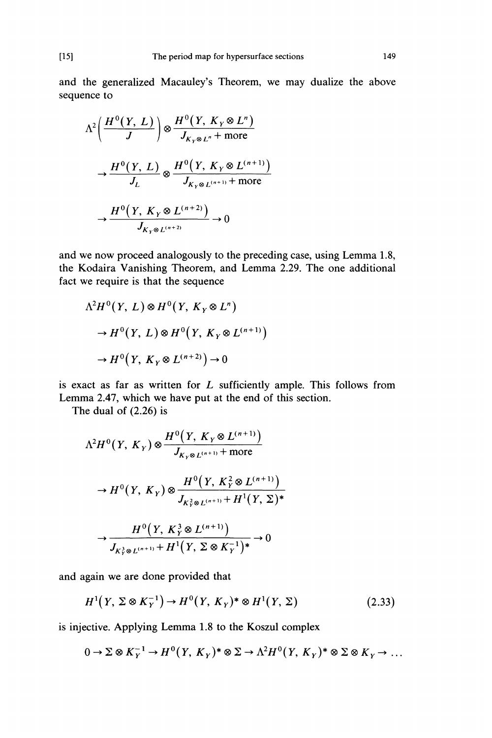and the generalized Macauley's Theorem, we may dualize the above sequence to

$$
\Lambda^{2}\left(\frac{H^{0}(Y, L)}{J}\right) \otimes \frac{H^{0}(Y, K_{Y} \otimes L^{n})}{J_{K_{Y} \otimes L^{n}} + \text{more}}
$$

$$
\to \frac{H^{0}(Y, L)}{J_{L}} \otimes \frac{H^{0}(Y, K_{Y} \otimes L^{(n+1)})}{J_{K_{Y} \otimes L^{(n+1)}} + \text{more}}
$$

$$
\to \frac{H^{0}(Y, K_{Y} \otimes L^{(n+2)})}{J_{K_{Y} \otimes L^{(n+2)}}} \to 0
$$

and we now proceed analogously to the preceding case, using Lemma 1.8, the Kodaira Vanishing Theorem, and Lemma 2.29. The one additional fact we require is that the sequence

$$
\Lambda^2 H^0(Y, L) \otimes H^0(Y, K_Y \otimes L^n)
$$
  
\n
$$
\to H^0(Y, L) \otimes H^0(Y, K_Y \otimes L^{(n+1)})
$$
  
\n
$$
\to H^0(Y, K_Y \otimes L^{(n+2)}) \to 0
$$

is exact as far as written for  $L$  sufficiently ample. This follows from Lemma 2.47, which we have put at the end of this section.

The dual of (2.26) is

$$
\Lambda^{2} H^{0}(Y, K_{Y}) \otimes \frac{H^{0}(Y, K_{Y} \otimes L^{(n+1)})}{J_{K_{Y} \otimes L^{(n+1)}} + \text{more}}
$$
\n
$$
\to H^{0}(Y, K_{Y}) \otimes \frac{H^{0}(Y, K_{Y}^{2} \otimes L^{(n+1)})}{J_{K_{Y}^{2} \otimes L^{(n+1)}} + H^{1}(Y, \Sigma)^{*}}
$$
\n
$$
\to \frac{H^{0}(Y, K_{Y}^{3} \otimes L^{(n+1)})}{J_{K_{Y}^{3} \otimes L^{(n+1)}} + H^{1}(Y, \Sigma \otimes K_{Y}^{-1})^{*}} \to 0
$$

and again we are done provided that

$$
H^{1}\left(Y,\Sigma\otimes K_{Y}^{-1}\right)\to H^{0}\left(Y,\,K_{Y}\right)^{*}\otimes H^{1}\left(Y,\,\Sigma\right)\tag{2.33}
$$

is injective. Applying Lemma 1.8 to the Koszul complex

$$
0 \to \Sigma \otimes K_Y^{-1} \to H^0(Y, K_Y)^* \otimes \Sigma \to \Lambda^2 H^0(Y, K_Y)^* \otimes \Sigma \otimes K_Y \to \dots
$$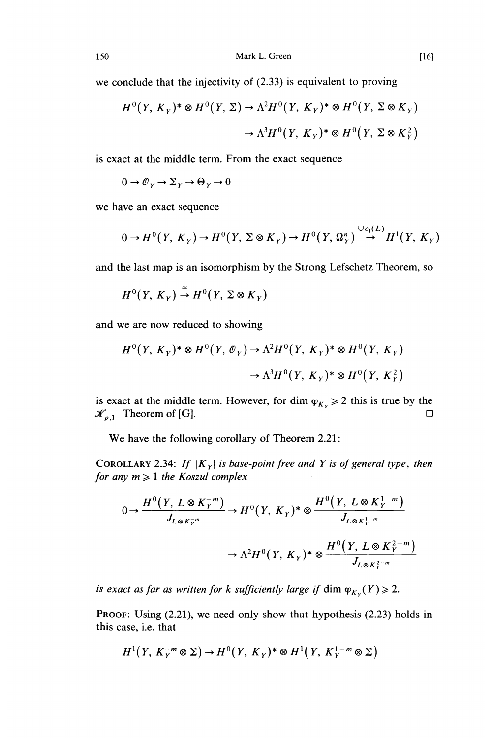we conclude that the injectivity of (2.33) is equivalent to proving

$$
H^{0}(Y, K_{Y})^{*} \otimes H^{0}(Y, \Sigma) \to \Lambda^{2} H^{0}(Y, K_{Y})^{*} \otimes H^{0}(Y, \Sigma \otimes K_{Y})
$$

$$
\to \Lambda^{3} H^{0}(Y, K_{Y})^{*} \otimes H^{0}(Y, \Sigma \otimes K_{Y}^{2})
$$

is exact at the middle term. From the exact sequence

 $0 \to \mathcal{O}_Y \to \Sigma_Y \to \Theta_Y \to 0$ 

we have an exact sequence

$$
0 \to H^0(Y, K_Y) \to H^0(Y, \Sigma \otimes K_Y) \to H^0(Y, \Omega_Y^n) \stackrel{\cup c_1(L)}{\to} H^1(Y, K_Y)
$$

and the last map is an isomorphism by the Strong Lefschetz Theorem, so

$$
H^0(Y, K_Y) \to H^0(Y, \Sigma \otimes K_Y)
$$

and we are now reduced to showing

$$
H^{0}(Y, K_{Y})^{*} \otimes H^{0}(Y, \mathcal{O}_{Y}) \to \Lambda^{2}H^{0}(Y, K_{Y})^{*} \otimes H^{0}(Y, K_{Y})
$$

$$
\to \Lambda^{3}H^{0}(Y, K_{Y})^{*} \otimes H^{0}(Y, K_{Y}^{2})
$$

is exact at the middle term. However, for dim  $\varphi_{K_y} \ge 2$  this is true by the  $\mathcal{K}_{-1}$ . Theorem of [G].  $\mathcal{K}_{p,1}$  Theorem of [G].

We have the following corollary of Theorem 2.21:

COROLLARY 2.34: If  $|K_Y|$  is base-point free and Y is of general type, then for any  $m \geq 1$  the Koszul complex

$$
0 \to \frac{H^0(Y, L \otimes K_Y^{-m})}{J_{L \otimes K_Y^{-m}}} \to H^0(Y, K_Y)^* \otimes \frac{H^0(Y, L \otimes K_Y^{1-m})}{J_{L \otimes K_Y^{1-m}}} \to \Lambda^2 H^0(Y, K_Y)^* \otimes \frac{H^0(Y, L \otimes K_Y^{2-m})}{J_{L \otimes K_Y^{2-m}}}
$$

is exact as far as written for k sufficiently large if dim  $\varphi_{K_y}(Y) \geq 2$ .

PROOF: Using (2.21), we need only show that hypothesis (2.23) holds in this case, i.e. that

$$
H^1(Y, K_Y^{-m} \otimes \Sigma) \to H^0(Y, K_Y)^* \otimes H^1(Y, K_Y^{1-m} \otimes \Sigma)
$$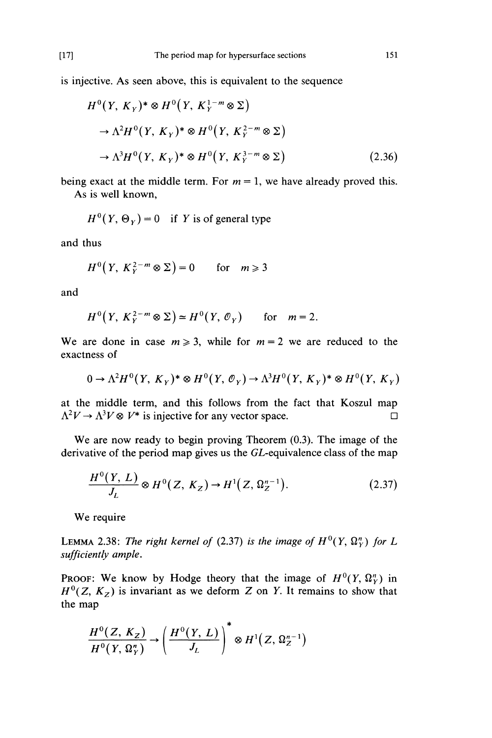is injective. As seen above, this is equivalent to the sequence

$$
H^{0}(Y, K_{Y})^{*} \otimes H^{0}(Y, K_{Y}^{1-m} \otimes \Sigma)
$$
  
\n
$$
\rightarrow \Lambda^{2}H^{0}(Y, K_{Y})^{*} \otimes H^{0}(Y, K_{Y}^{2-m} \otimes \Sigma)
$$
  
\n
$$
\rightarrow \Lambda^{3}H^{0}(Y, K_{Y})^{*} \otimes H^{0}(Y, K_{Y}^{3-m} \otimes \Sigma)
$$
\n(2.36)

being exact at the middle term. For  $m = 1$ , we have already proved this.

As is well known,

$$
H^{0}(Y, \Theta_{Y}) = 0 \quad \text{if } Y \text{ is of general type}
$$

and thus

$$
H^{0}(Y, K_{Y}^{2-m} \otimes \Sigma) = 0 \quad \text{for} \quad m \geq 3
$$

and

$$
H^{0}(Y, K_{Y}^{2-m} \otimes \Sigma) \simeq H^{0}(Y, \mathcal{O}_{Y}) \quad \text{for} \quad m = 2.
$$

We are done in case  $m \ge 3$ , while for  $m = 2$  we are reduced to the exactness of

$$
0 \to \Lambda^2 H^0(Y, K_Y)^* \otimes H^0(Y, \mathcal{O}_Y) \to \Lambda^3 H^0(Y, K_Y)^* \otimes H^0(Y, K_Y)
$$

at the middle term, and this follows from the fact that Koszul map  $\Lambda^2 V \to \Lambda^3 V \otimes V^*$  is injective for any vector space.  $\Lambda^2 V \to \Lambda^3 V \otimes V^*$  is injective for any vector space.

We are now ready to begin proving Theorem (0.3). The image of the derivative of the period map gives us the GL-equivalence class of the map

$$
\frac{H^{0}(Y, L)}{J_{L}} \otimes H^{0}(Z, K_{Z}) \to H^{1}(Z, \Omega_{Z}^{n-1}).
$$
\n(2.37)

We require

LEMMA 2.38: The right kernel of (2.37) is the image of  $H^0(Y, \Omega_Y^n)$  for L sufficiently ample.

PROOF: We know by Hodge theory that the image of  $H^0(Y, \Omega_Y^n)$  in  $H^0(Z, K_z)$  is invariant as we deform Z on Y. It remains to show that the map

$$
\frac{H^0(Z, K_Z)}{H^0(Y, \Omega^n_Y)} \rightarrow \left(\frac{H^0(Y, L)}{J_L}\right)^* \otimes H^1(Z, \Omega^{n-1}_Z)
$$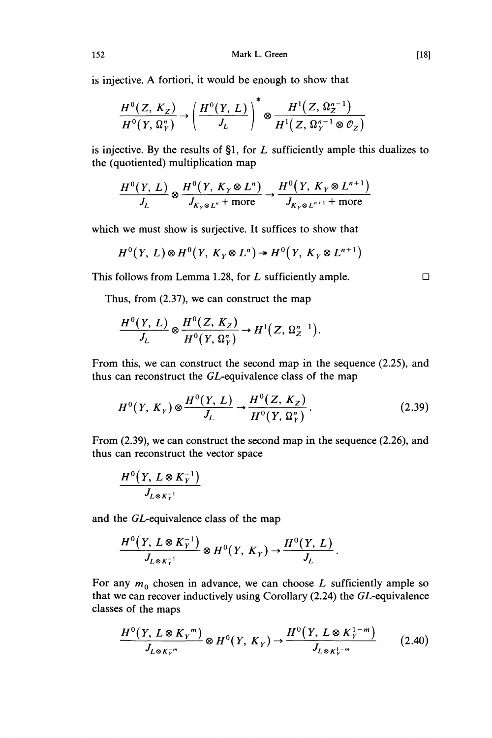is injective. A fortiori, it would be enough to show that

$$
\frac{H^0(Z, K_Z)}{H^0(Y, \Omega_Y^n)} \rightarrow \left(\frac{H^0(Y, L)}{J_L}\right)^* \otimes \frac{H^1(Z, \Omega_Z^{n-1})}{H^1(Z, \Omega_Y^{n-1} \otimes \mathcal{O}_Z)}
$$

is injective. By the results of §1, for  $L$  sufficiently ample this dualizes to the (quotiented) multiplication map

$$
\frac{H^0(Y, L)}{J_L} \otimes \frac{H^0(Y, K_Y \otimes L^n)}{J_{K_Y \otimes L^n} + \text{more}} \rightarrow \frac{H^0(Y, K_Y \otimes L^{n+1})}{J_{K_Y \otimes L^{n+1}} + \text{more}}
$$

which we must show is surjective. It suffices to show that

$$
H^0(Y, L) \otimes H^0(Y, K_Y \otimes L^n) \twoheadrightarrow H^0(Y, K_Y \otimes L^{n+1})
$$

This follows from Lemma 1.28, for L sufficiently ample.  $\Box$ 

Thus, from (2.37), we can construct the map

$$
\frac{H^0(Y, L)}{J_L} \otimes \frac{H^0(Z, K_Z)}{H^0(Y, \Omega_Y^n)} \to H^1(Z, \Omega_Z^{n-1}).
$$

From this, we can construct the second map in the sequence (2.25), and thus can reconstruct the GL-equivalence class of the map

$$
H^{0}(Y, K_{Y}) \otimes \frac{H^{0}(Y, L)}{J_{L}} \to \frac{H^{0}(Z, K_{Z})}{H^{0}(Y, \Omega_{Y}^{n})}.
$$
 (2.39)

From (2.39), we can construct the second map in the sequence (2.26), and thus can reconstruct the vector space

$$
\frac{H^0(Y,\,L\otimes K_Y^{-1})}{J_{L\otimes K_Y^{-1}}}
$$

and the GL-equivalence class of the map

$$
\frac{H^0(Y, L \otimes K_Y^{-1})}{J_{L \otimes K_Y^{-1}}} \otimes H^0(Y, K_Y) \to \frac{H^0(Y, L)}{J_L}.
$$

For any  $m_0$  chosen in advance, we can choose L sufficiently ample so that we can recover inductively using Corollary (2.24) the GL-equivalence classes of the maps

$$
\frac{H^0(Y, L \otimes K_Y^{-m})}{J_{L \otimes K_Y^{-m}}} \otimes H^0(Y, K_Y) \to \frac{H^0(Y, L \otimes K_Y^{1-m})}{J_{L \otimes K_Y^{1-m}}} \qquad (2.40)
$$

 $[18]$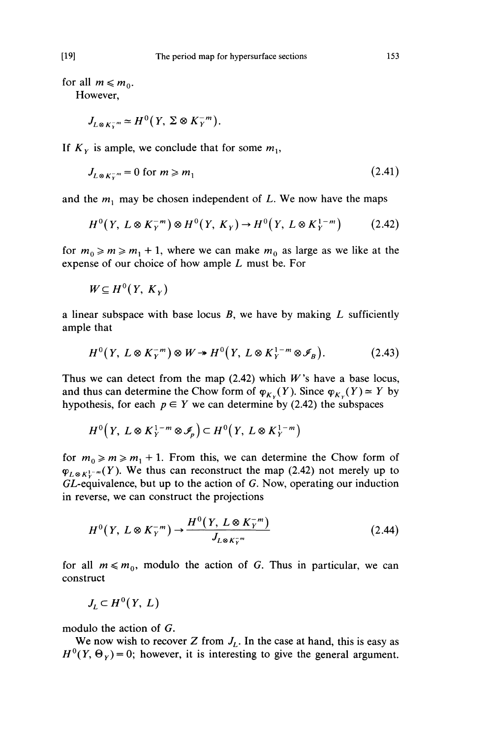for all  $m \leq m_0$ .

However,

$$
J_{L\otimes K_{\lambda}^{-m}} \simeq H^0(Y, \Sigma \otimes K_{\gamma}^{-m}).
$$

If  $K<sub>y</sub>$  is ample, we conclude that for some  $m<sub>1</sub>$ ,

$$
J_{L\otimes K\bar{v}^m} = 0 \text{ for } m \ge m_1 \tag{2.41}
$$

and the  $m_1$  may be chosen independent of L. We now have the maps

$$
H^{0}(Y, L \otimes K_{Y}^{-m}) \otimes H^{0}(Y, K_{Y}) \to H^{0}(Y, L \otimes K_{Y}^{1-m})
$$
 (2.42)

for  $m_0 \ge m \ge m_1 + 1$ , where we can make  $m_0$  as large as we like at the expense of our choice of how ample  $L$  must be. For

 $W \subseteq H^0(Y, K_Y)$ 

a linear subspace with base locus  $B$ , we have by making  $L$  sufficiently ample that

$$
H^{0}(Y, L \otimes K_{Y}^{-m}) \otimes W \twoheadrightarrow H^{0}(Y, L \otimes K_{Y}^{1-m} \otimes \mathscr{I}_{B}). \tag{2.43}
$$

Thus we can detect from the map  $(2.42)$  which W's have a base locus, and thus can determine the Chow form of  $\varphi_{K_y}(Y)$ . Since  $\varphi_{K_y}(Y) \simeq Y$  by hypothesis, for each  $p \in Y$  we can determine by (2.42) the subspaces

$$
H^0\big(Y,\ L\otimes K_Y^{1-m}\otimes \mathcal{I}_p\big)\subset H^0\big(Y,\ L\otimes K_Y^{1-m}\big)
$$

for  $m_0 \ge m \ge m_1 + 1$ . From this, we can determine the Chow form of  $\varphi_{L\otimes K_{Y}^{1-m}}(Y)$ . We thus can reconstruct the map (2.42) not merely up to GL-equivalence, but up to the action of G. Now, operating our induction in reverse, we can construct the projections

$$
H^{0}(Y, L \otimes K_{Y}^{-m}) \to \frac{H^{0}(Y, L \otimes K_{Y}^{-m})}{J_{L \otimes K_{Y}^{-m}}}
$$
\n(2.44)

for all  $m \le m_0$ , modulo the action of G. Thus in particular, we can construct

$$
J_L \subset H^0(Y, L)
$$

modulo the action of G.

We now wish to recover Z from  $J_L$ . In the case at hand, this is easy as  $H^{0}(Y, \Theta_{Y}) = 0$ ; however, it is interesting to give the general argument.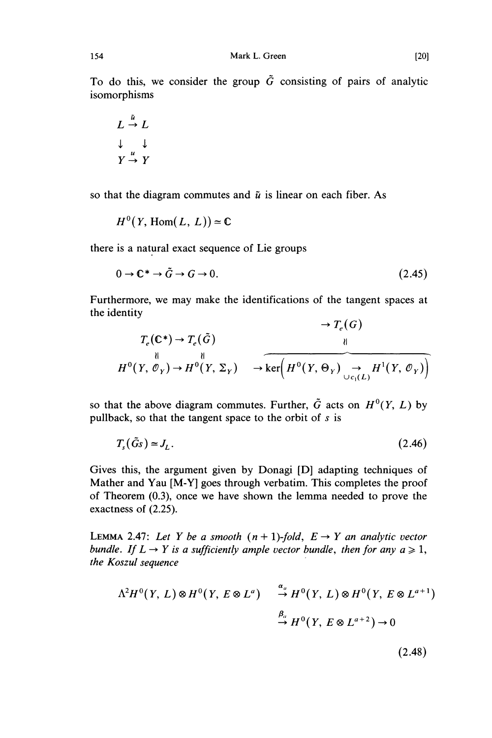To do this, we consider the group  $\tilde{G}$  consisting of pairs of analytic isomorphisms

$$
L \stackrel{\tilde{u}}{\rightarrow} L
$$
  

$$
\downarrow \qquad \downarrow
$$
  

$$
Y \stackrel{u}{\rightarrow} Y
$$

so that the diagram commutes and  $\tilde{u}$  is linear on each fiber. As

$$
H^0(Y, \text{Hom}(L, L)) \approx \mathbb{C}
$$

there is a natural exact sequence of Lie groups

$$
0 \to \mathbb{C}^* \to \tilde{G} \to G \to 0. \tag{2.45}
$$

Furthermore, we may make the identifications of the tangent spaces at the identity  $\mathbb{R}$  (c)

$$
T_e(\mathbb{C}^*) \to T_e(\tilde{G})
$$
  
\n
$$
\downarrow^{||}
$$
  
\n
$$
H^0(Y, \mathcal{O}_Y) \to H^0(Y, \Sigma_Y) \to \widehat{\ker\left(H^0(Y, \Theta_Y) \to H^1(Y, \mathcal{O}_Y)\right)}
$$

so that the above diagram commutes. Further,  $\tilde{G}$  acts on  $H^{0}(Y, L)$  by pullback, so that the tangent space to the orbit of  $s$  is

$$
T_s(\tilde{G}_s) \simeq J_L. \tag{2.46}
$$

Gives this, the argument given by Donagi [D] adapting techniques of Mather and Yau [M-Y] goes through verbatim. This completes the proof of Theorem (0.3), once we have shown the lemma needed to prove the exactness of (2.25).

LEMMA 2.47: Let Y be a smooth  $(n + 1)$ -fold,  $E \rightarrow Y$  an analytic vector bundle. If  $L \rightarrow Y$  is a sufficiently ample vector bundle, then for any  $a \ge 1$ , the Koszul sequence

$$
\Lambda^2 H^0(Y, L) \otimes H^0(Y, E \otimes L^a) \xrightarrow{\alpha_a} H^0(Y, L) \otimes H^0(Y, E \otimes L^{a+1})
$$
  

$$
\xrightarrow{\beta_a} H^0(Y, E \otimes L^{a+2}) \to 0
$$

 $(2.48)$ 

154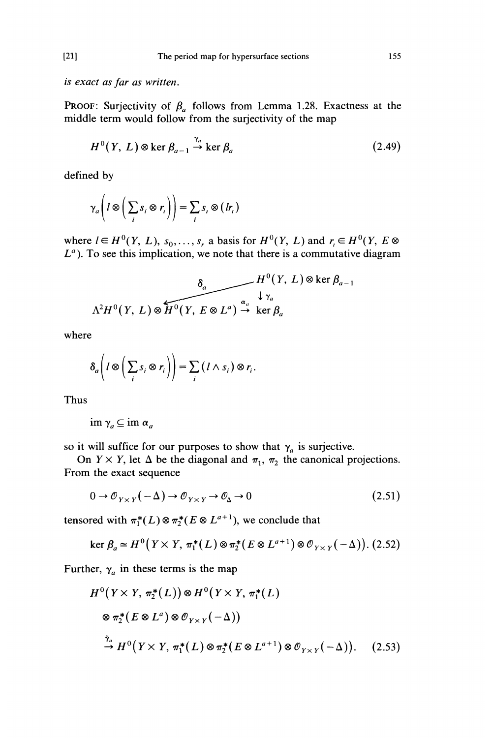is exact as far as written.

PROOF: Surjectivity of  $\beta_a$  follows from Lemma 1.28. Exactness at the middle term would follow from the surjectivity of the map

$$
H^{0}(Y, L) \otimes \ker \beta_{a-1} \stackrel{\gamma_{a}}{\to} \ker \beta_{a}
$$
 (2.49)

defined by

$$
\gamma_a \bigg( l \otimes \bigg( \sum_i s_i \otimes r_i \bigg) \bigg) = \sum_i s_i \otimes (lr_i)
$$

where  $l \in H^0(Y, L)$ ,  $s_0, \ldots, s_r$  a basis for  $H^0(Y, L)$  and  $r_i \in H^0(Y, E \otimes$  $L<sup>a</sup>$ ). To see this implication, we note that there is a commutative diagram

$$
\delta_a \qquad H^0(Y, L) \otimes \ker \beta_{a-1}
$$
  

$$
\Lambda^2 H^0(Y, L) \otimes \widetilde{H^0(Y, E \otimes L^a)} \stackrel{\alpha_a}{\to} \ker \beta_a
$$

where

$$
\delta_a\bigg(l\otimes\bigg(\sum_i s_i\otimes r_i\bigg)\bigg)=\sum_i\big(l\wedge s_i\big)\otimes r_i.
$$

Thus

$$
\operatorname{im} \gamma_a \subseteq \operatorname{im} \alpha_a
$$

so it will suffice for our purposes to show that  $\gamma_a$  is surjective.

On  $Y \times Y$ , let  $\Delta$  be the diagonal and  $\pi_1$ ,  $\pi_2$  the canonical projections. From the exact sequence

$$
0 \to \mathcal{O}_{Y \times Y}(-\Delta) \to \mathcal{O}_{Y \times Y} \to \mathcal{O}_{\Delta} \to 0
$$
\n(2.51)

tensored with  $\pi_1^*(L) \otimes \pi_2^*(E \otimes L^{a+1})$ , we conclude that

$$
\ker \beta_a \simeq H^0(Y \times Y, \, \pi_1^*(L) \otimes \pi_2^*(E \otimes L^{a+1}) \otimes \mathcal{O}_{Y \times Y}(-\Delta)). \tag{2.52}
$$

Further,  $\gamma_a$  in these terms is the map

$$
H^{0}(Y \times Y, \pi_{2}^{*}(L)) \otimes H^{0}(Y \times Y, \pi_{1}^{*}(L)
$$
  
\n
$$
\otimes \pi_{2}^{*}(E \otimes L^{a}) \otimes \mathcal{O}_{Y \times Y}(-\Delta))
$$
  
\n
$$
\stackrel{\tilde{\gamma}_{a}}{\rightarrow} H^{0}(Y \times Y, \pi_{1}^{*}(L) \otimes \pi_{2}^{*}(E \otimes L^{a+1}) \otimes \mathcal{O}_{Y \times Y}(-\Delta)).
$$
 (2.53)